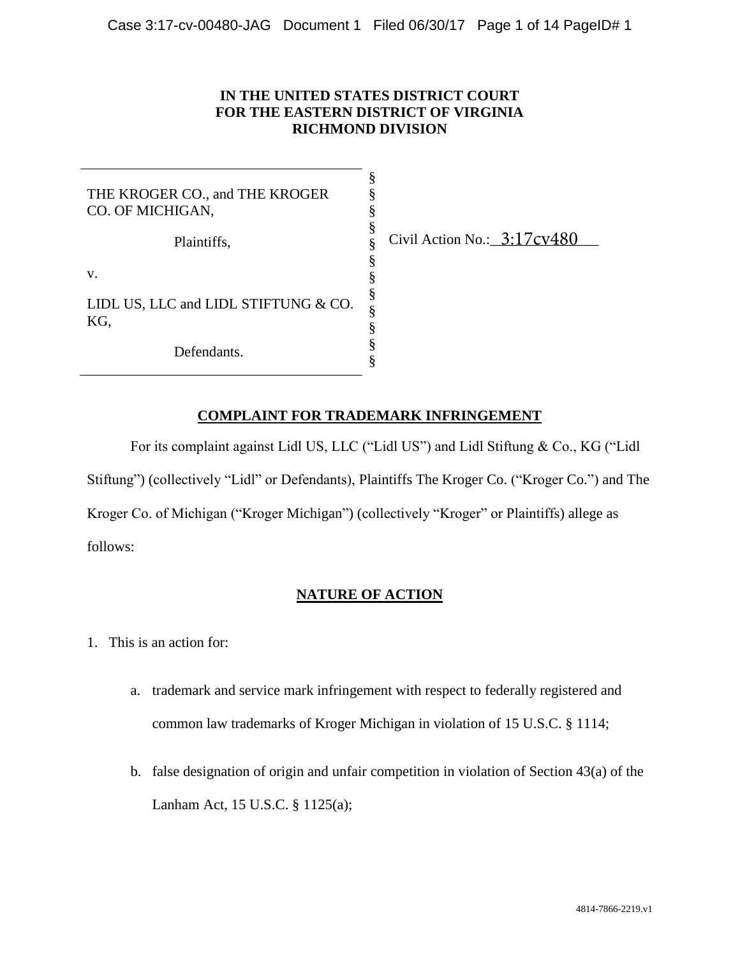### **IN THE UNITED STATES DISTRICT COURT FOR THE EASTERN DISTRICT OF VIRGINIA RICHMOND DIVISION**

§ § § § § § § § § § § §

| THE KROGER CO., and THE KROGER<br>CO. OF MICHIGAN, |  |
|----------------------------------------------------|--|
| Plaintiffs.                                        |  |

Civil Action No.: 3:17cv480

v.

LIDL US, LLC and LIDL STIFTUNG & CO. KG,

Defendants.

# **COMPLAINT FOR TRADEMARK INFRINGEMENT**

For its complaint against Lidl US, LLC ("Lidl US") and Lidl Stiftung & Co., KG ("Lidl Stiftung") (collectively "Lidl" or Defendants), Plaintiffs The Kroger Co. ("Kroger Co.") and The Kroger Co. of Michigan ("Kroger Michigan") (collectively "Kroger" or Plaintiffs) allege as follows:

### **NATURE OF ACTION**

- 1. This is an action for:
	- a. trademark and service mark infringement with respect to federally registered and common law trademarks of Kroger Michigan in violation of 15 U.S.C. § 1114;
	- b. false designation of origin and unfair competition in violation of Section 43(a) of the Lanham Act, 15 U.S.C. § 1125(a);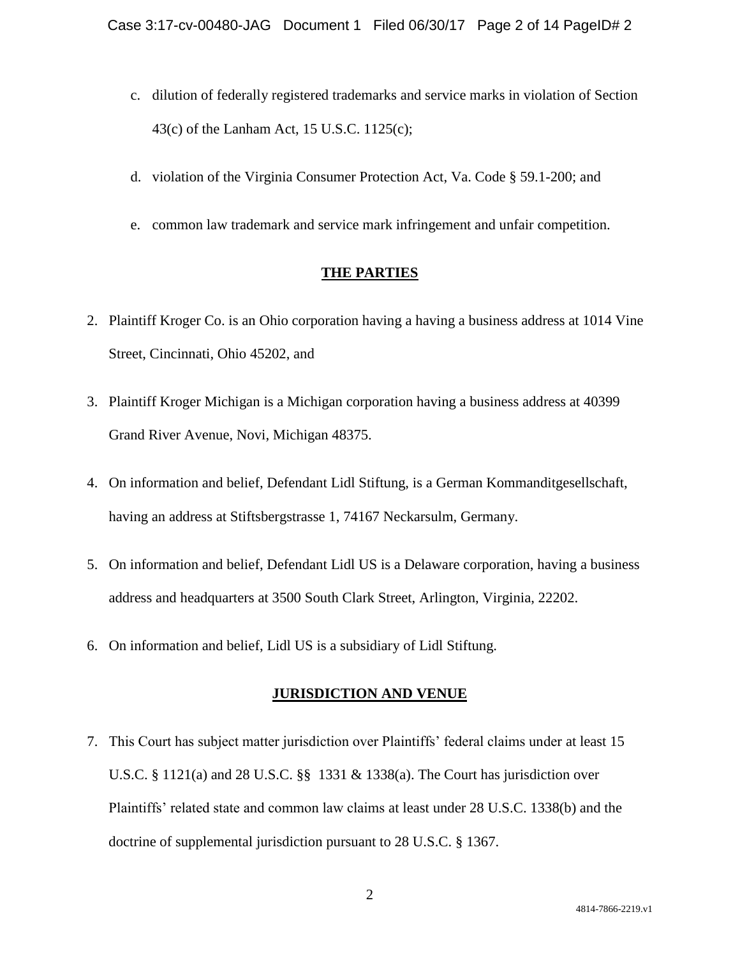- c. dilution of federally registered trademarks and service marks in violation of Section 43(c) of the Lanham Act, 15 U.S.C. 1125(c);
- d. violation of the Virginia Consumer Protection Act, Va. Code § 59.1-200; and
- e. common law trademark and service mark infringement and unfair competition.

## **THE PARTIES**

- 2. Plaintiff Kroger Co. is an Ohio corporation having a having a business address at 1014 Vine Street, Cincinnati, Ohio 45202, and
- 3. Plaintiff Kroger Michigan is a Michigan corporation having a business address at 40399 Grand River Avenue, Novi, Michigan 48375.
- 4. On information and belief, Defendant Lidl Stiftung, is a German Kommanditgesellschaft, having an address at Stiftsbergstrasse 1, 74167 Neckarsulm, Germany.
- 5. On information and belief, Defendant Lidl US is a Delaware corporation, having a business address and headquarters at 3500 South Clark Street, Arlington, Virginia, 22202.
- 6. On information and belief, Lidl US is a subsidiary of Lidl Stiftung.

## **JURISDICTION AND VENUE**

7. This Court has subject matter jurisdiction over Plaintiffs' federal claims under at least 15 U.S.C. § 1121(a) and 28 U.S.C. §§ 1331 & 1338(a). The Court has jurisdiction over Plaintiffs' related state and common law claims at least under 28 U.S.C. 1338(b) and the doctrine of supplemental jurisdiction pursuant to 28 U.S.C. § 1367.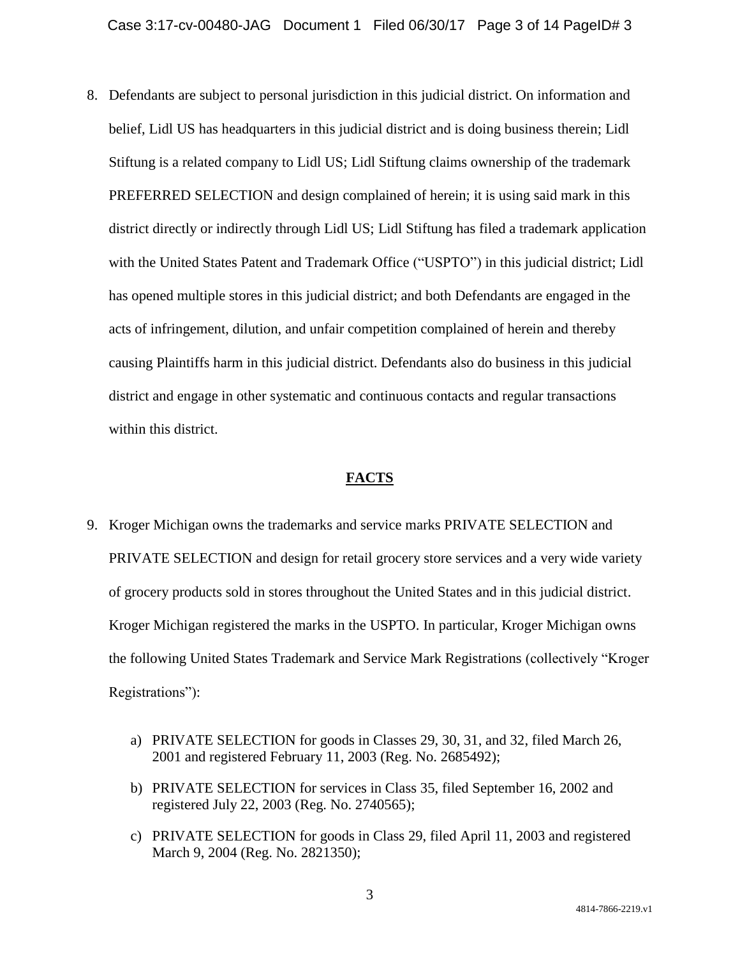8. Defendants are subject to personal jurisdiction in this judicial district. On information and belief, Lidl US has headquarters in this judicial district and is doing business therein; Lidl Stiftung is a related company to Lidl US; Lidl Stiftung claims ownership of the trademark PREFERRED SELECTION and design complained of herein; it is using said mark in this district directly or indirectly through Lidl US; Lidl Stiftung has filed a trademark application with the United States Patent and Trademark Office ("USPTO") in this judicial district; Lidl has opened multiple stores in this judicial district; and both Defendants are engaged in the acts of infringement, dilution, and unfair competition complained of herein and thereby causing Plaintiffs harm in this judicial district. Defendants also do business in this judicial district and engage in other systematic and continuous contacts and regular transactions within this district.

### **FACTS**

- 9. Kroger Michigan owns the trademarks and service marks PRIVATE SELECTION and PRIVATE SELECTION and design for retail grocery store services and a very wide variety of grocery products sold in stores throughout the United States and in this judicial district. Kroger Michigan registered the marks in the USPTO. In particular, Kroger Michigan owns the following United States Trademark and Service Mark Registrations (collectively "Kroger Registrations"):
	- a) PRIVATE SELECTION for goods in Classes 29, 30, 31, and 32, filed March 26, 2001 and registered February 11, 2003 (Reg. No. 2685492);
	- b) PRIVATE SELECTION for services in Class 35, filed September 16, 2002 and registered July 22, 2003 (Reg. No. 2740565);
	- c) PRIVATE SELECTION for goods in Class 29, filed April 11, 2003 and registered March 9, 2004 (Reg. No. 2821350);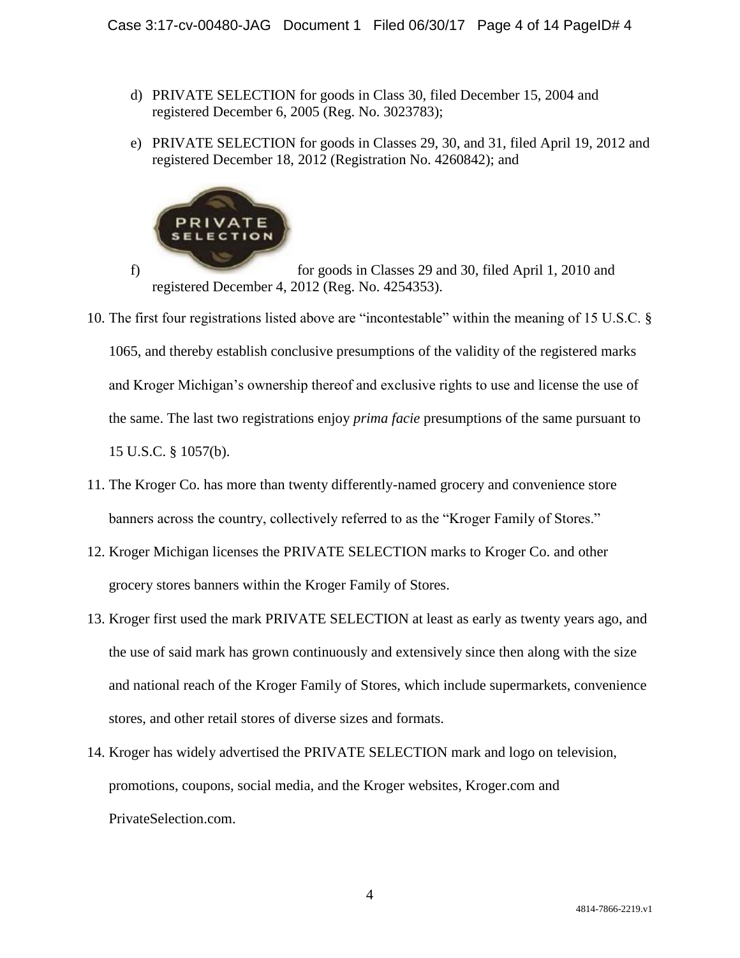- d) PRIVATE SELECTION for goods in Class 30, filed December 15, 2004 and registered December 6, 2005 (Reg. No. 3023783);
- e) PRIVATE SELECTION for goods in Classes 29, 30, and 31, filed April 19, 2012 and registered December 18, 2012 (Registration No. 4260842); and



f) for goods in Classes 29 and 30, filed April 1, 2010 and registered December 4, 2012 (Reg. No. 4254353).

- 10. The first four registrations listed above are "incontestable" within the meaning of 15 U.S.C. § 1065, and thereby establish conclusive presumptions of the validity of the registered marks and Kroger Michigan's ownership thereof and exclusive rights to use and license the use of the same. The last two registrations enjoy *prima facie* presumptions of the same pursuant to 15 U.S.C. § 1057(b).
- 11. The Kroger Co. has more than twenty differently-named grocery and convenience store banners across the country, collectively referred to as the "Kroger Family of Stores."
- 12. Kroger Michigan licenses the PRIVATE SELECTION marks to Kroger Co. and other grocery stores banners within the Kroger Family of Stores.
- 13. Kroger first used the mark PRIVATE SELECTION at least as early as twenty years ago, and the use of said mark has grown continuously and extensively since then along with the size and national reach of the Kroger Family of Stores, which include supermarkets, convenience stores, and other retail stores of diverse sizes and formats.
- 14. Kroger has widely advertised the PRIVATE SELECTION mark and logo on television, promotions, coupons, social media, and the Kroger websites, Kroger.com and PrivateSelection.com.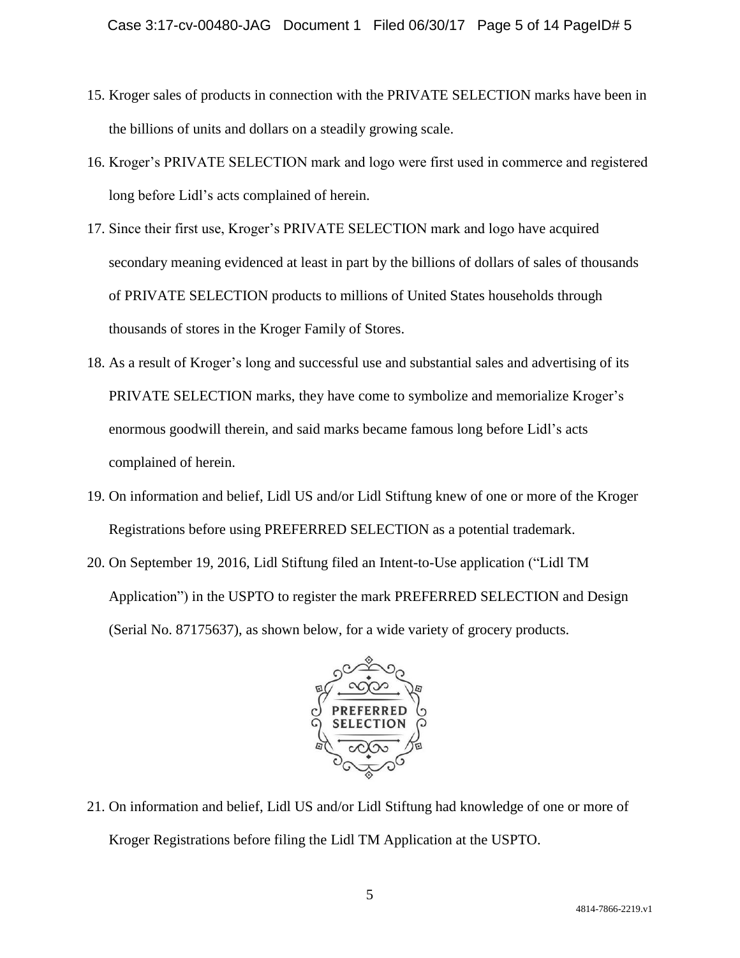- 15. Kroger sales of products in connection with the PRIVATE SELECTION marks have been in the billions of units and dollars on a steadily growing scale.
- 16. Kroger's PRIVATE SELECTION mark and logo were first used in commerce and registered long before Lidl's acts complained of herein.
- 17. Since their first use, Kroger's PRIVATE SELECTION mark and logo have acquired secondary meaning evidenced at least in part by the billions of dollars of sales of thousands of PRIVATE SELECTION products to millions of United States households through thousands of stores in the Kroger Family of Stores.
- 18. As a result of Kroger's long and successful use and substantial sales and advertising of its PRIVATE SELECTION marks, they have come to symbolize and memorialize Kroger's enormous goodwill therein, and said marks became famous long before Lidl's acts complained of herein.
- 19. On information and belief, Lidl US and/or Lidl Stiftung knew of one or more of the Kroger Registrations before using PREFERRED SELECTION as a potential trademark.
- 20. On September 19, 2016, Lidl Stiftung filed an Intent-to-Use application ("Lidl TM Application") in the USPTO to register the mark PREFERRED SELECTION and Design (Serial No. 87175637), as shown below, for a wide variety of grocery products.



21. On information and belief, Lidl US and/or Lidl Stiftung had knowledge of one or more of Kroger Registrations before filing the Lidl TM Application at the USPTO.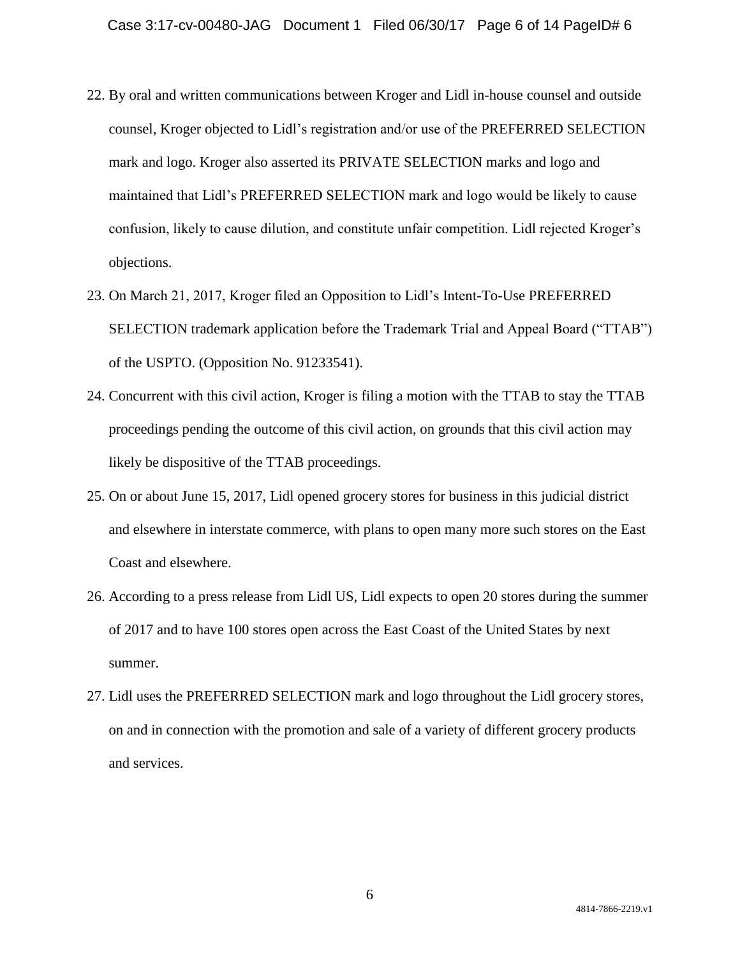- 22. By oral and written communications between Kroger and Lidl in-house counsel and outside counsel, Kroger objected to Lidl's registration and/or use of the PREFERRED SELECTION mark and logo. Kroger also asserted its PRIVATE SELECTION marks and logo and maintained that Lidl's PREFERRED SELECTION mark and logo would be likely to cause confusion, likely to cause dilution, and constitute unfair competition. Lidl rejected Kroger's objections.
- 23. On March 21, 2017, Kroger filed an Opposition to Lidl's Intent-To-Use PREFERRED SELECTION trademark application before the Trademark Trial and Appeal Board ("TTAB") of the USPTO. (Opposition No. 91233541).
- 24. Concurrent with this civil action, Kroger is filing a motion with the TTAB to stay the TTAB proceedings pending the outcome of this civil action, on grounds that this civil action may likely be dispositive of the TTAB proceedings.
- 25. On or about June 15, 2017, Lidl opened grocery stores for business in this judicial district and elsewhere in interstate commerce, with plans to open many more such stores on the East Coast and elsewhere.
- 26. According to a press release from Lidl US, Lidl expects to open 20 stores during the summer of 2017 and to have 100 stores open across the East Coast of the United States by next summer.
- 27. Lidl uses the PREFERRED SELECTION mark and logo throughout the Lidl grocery stores, on and in connection with the promotion and sale of a variety of different grocery products and services.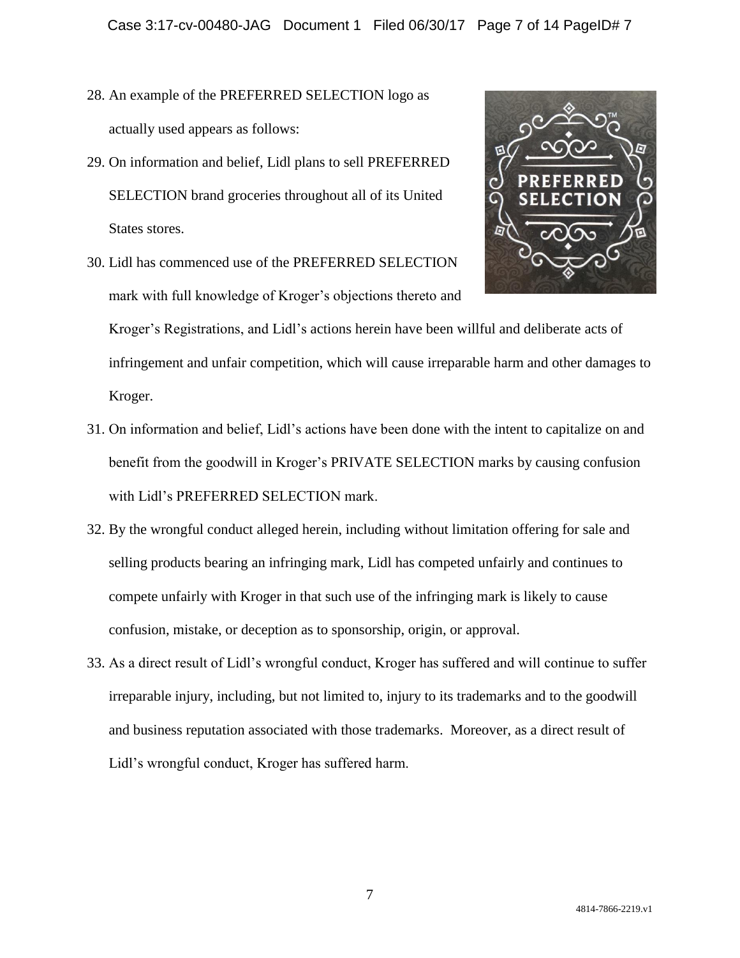- 28. An example of the PREFERRED SELECTION logo as actually used appears as follows:
- 29. On information and belief, Lidl plans to sell PREFERRED SELECTION brand groceries throughout all of its United States stores.
- 30. Lidl has commenced use of the PREFERRED SELECTION mark with full knowledge of Kroger's objections thereto and



Kroger's Registrations, and Lidl's actions herein have been willful and deliberate acts of infringement and unfair competition, which will cause irreparable harm and other damages to Kroger.

- 31. On information and belief, Lidl's actions have been done with the intent to capitalize on and benefit from the goodwill in Kroger's PRIVATE SELECTION marks by causing confusion with Lidl's PREFERRED SELECTION mark.
- 32. By the wrongful conduct alleged herein, including without limitation offering for sale and selling products bearing an infringing mark, Lidl has competed unfairly and continues to compete unfairly with Kroger in that such use of the infringing mark is likely to cause confusion, mistake, or deception as to sponsorship, origin, or approval.
- 33. As a direct result of Lidl's wrongful conduct, Kroger has suffered and will continue to suffer irreparable injury, including, but not limited to, injury to its trademarks and to the goodwill and business reputation associated with those trademarks. Moreover, as a direct result of Lidl's wrongful conduct, Kroger has suffered harm.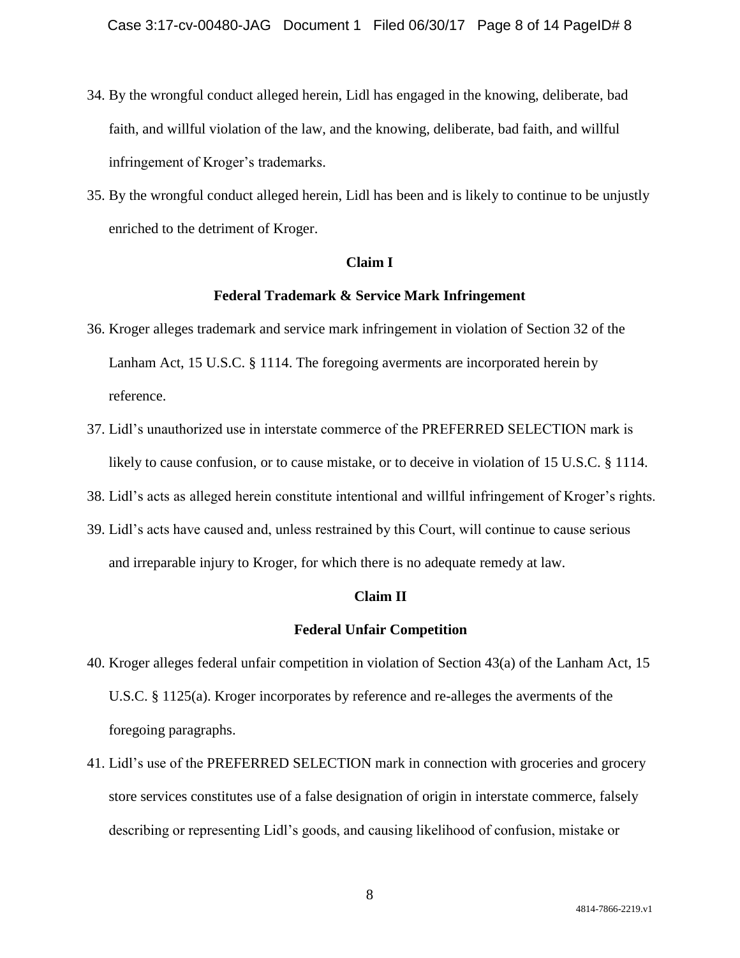- 34. By the wrongful conduct alleged herein, Lidl has engaged in the knowing, deliberate, bad faith, and willful violation of the law, and the knowing, deliberate, bad faith, and willful infringement of Kroger's trademarks.
- 35. By the wrongful conduct alleged herein, Lidl has been and is likely to continue to be unjustly enriched to the detriment of Kroger.

#### **Claim I**

#### **Federal Trademark & Service Mark Infringement**

- 36. Kroger alleges trademark and service mark infringement in violation of Section 32 of the Lanham Act, 15 U.S.C. § 1114. The foregoing averments are incorporated herein by reference.
- 37. Lidl's unauthorized use in interstate commerce of the PREFERRED SELECTION mark is likely to cause confusion, or to cause mistake, or to deceive in violation of 15 U.S.C. § 1114.

38. Lidl's acts as alleged herein constitute intentional and willful infringement of Kroger's rights.

39. Lidl's acts have caused and, unless restrained by this Court, will continue to cause serious and irreparable injury to Kroger, for which there is no adequate remedy at law.

#### **Claim II**

#### **Federal Unfair Competition**

- 40. Kroger alleges federal unfair competition in violation of Section 43(a) of the Lanham Act, 15 U.S.C. § 1125(a). Kroger incorporates by reference and re-alleges the averments of the foregoing paragraphs.
- 41. Lidl's use of the PREFERRED SELECTION mark in connection with groceries and grocery store services constitutes use of a false designation of origin in interstate commerce, falsely describing or representing Lidl's goods, and causing likelihood of confusion, mistake or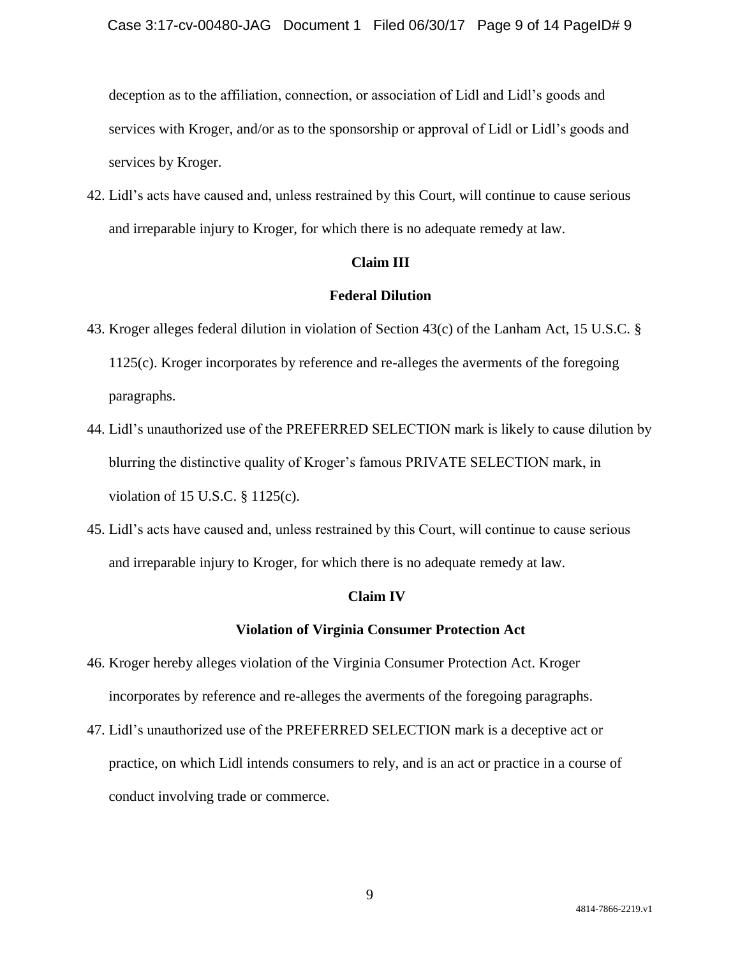deception as to the affiliation, connection, or association of Lidl and Lidl's goods and services with Kroger, and/or as to the sponsorship or approval of Lidl or Lidl's goods and services by Kroger.

42. Lidl's acts have caused and, unless restrained by this Court, will continue to cause serious and irreparable injury to Kroger, for which there is no adequate remedy at law.

#### **Claim III**

#### **Federal Dilution**

- 43. Kroger alleges federal dilution in violation of Section 43(c) of the Lanham Act, 15 U.S.C. § 1125(c). Kroger incorporates by reference and re-alleges the averments of the foregoing paragraphs.
- 44. Lidl's unauthorized use of the PREFERRED SELECTION mark is likely to cause dilution by blurring the distinctive quality of Kroger's famous PRIVATE SELECTION mark, in violation of 15 U.S.C. § 1125(c).
- 45. Lidl's acts have caused and, unless restrained by this Court, will continue to cause serious and irreparable injury to Kroger, for which there is no adequate remedy at law.

### **Claim IV**

#### **Violation of Virginia Consumer Protection Act**

- 46. Kroger hereby alleges violation of the Virginia Consumer Protection Act. Kroger incorporates by reference and re-alleges the averments of the foregoing paragraphs.
- 47. Lidl's unauthorized use of the PREFERRED SELECTION mark is a deceptive act or practice, on which Lidl intends consumers to rely, and is an act or practice in a course of conduct involving trade or commerce.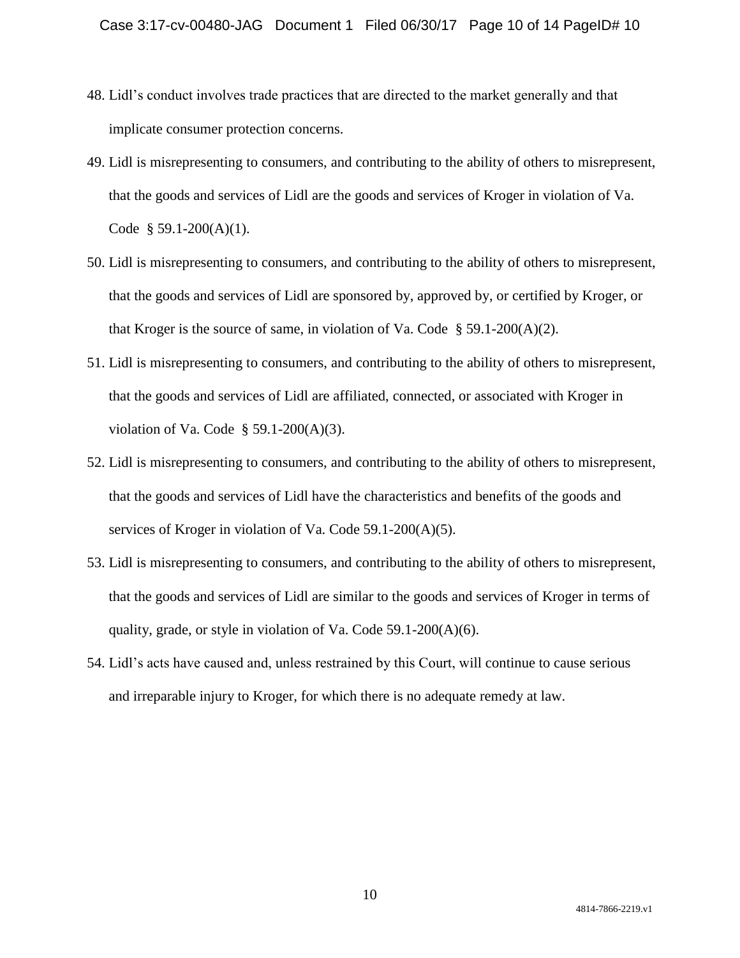- 48. Lidl's conduct involves trade practices that are directed to the market generally and that implicate consumer protection concerns.
- 49. Lidl is misrepresenting to consumers, and contributing to the ability of others to misrepresent, that the goods and services of Lidl are the goods and services of Kroger in violation of Va. Code  $§ 59.1-200(A)(1)$ .
- 50. Lidl is misrepresenting to consumers, and contributing to the ability of others to misrepresent, that the goods and services of Lidl are sponsored by, approved by, or certified by Kroger, or that Kroger is the source of same, in violation of Va. Code  $\S$  59.1-200(A)(2).
- 51. Lidl is misrepresenting to consumers, and contributing to the ability of others to misrepresent, that the goods and services of Lidl are affiliated, connected, or associated with Kroger in violation of Va. Code  $\S$  59.1-200(A)(3).
- 52. Lidl is misrepresenting to consumers, and contributing to the ability of others to misrepresent, that the goods and services of Lidl have the characteristics and benefits of the goods and services of Kroger in violation of Va. Code 59.1-200(A)(5).
- 53. Lidl is misrepresenting to consumers, and contributing to the ability of others to misrepresent, that the goods and services of Lidl are similar to the goods and services of Kroger in terms of quality, grade, or style in violation of Va. Code 59.1-200(A)(6).
- 54. Lidl's acts have caused and, unless restrained by this Court, will continue to cause serious and irreparable injury to Kroger, for which there is no adequate remedy at law.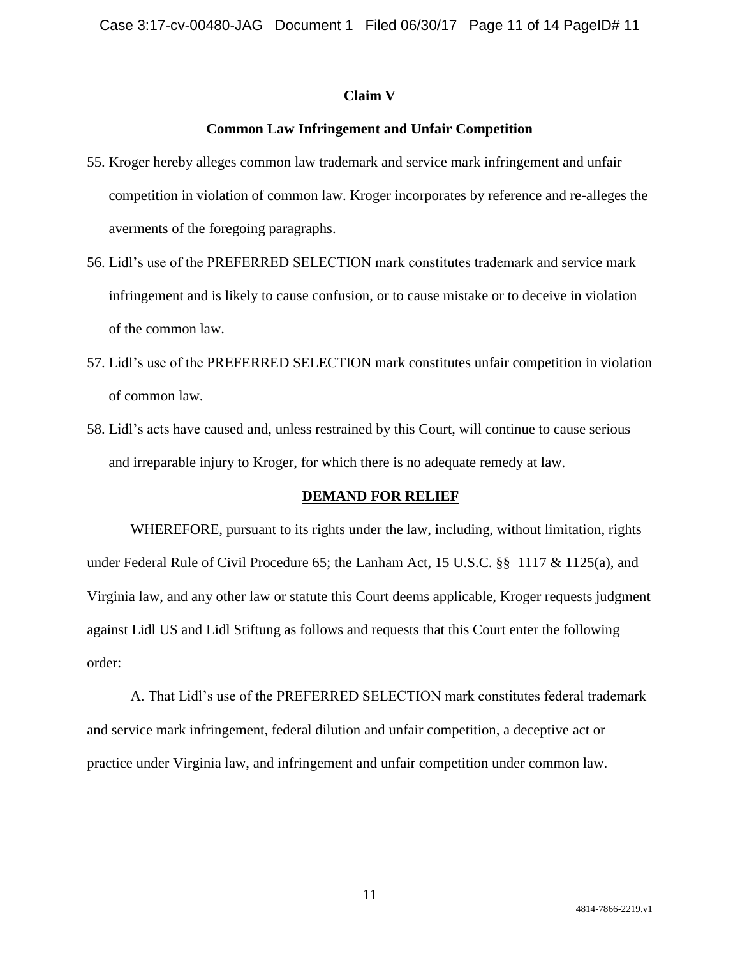#### **Claim V**

#### **Common Law Infringement and Unfair Competition**

- 55. Kroger hereby alleges common law trademark and service mark infringement and unfair competition in violation of common law. Kroger incorporates by reference and re-alleges the averments of the foregoing paragraphs.
- 56. Lidl's use of the PREFERRED SELECTION mark constitutes trademark and service mark infringement and is likely to cause confusion, or to cause mistake or to deceive in violation of the common law.
- 57. Lidl's use of the PREFERRED SELECTION mark constitutes unfair competition in violation of common law.
- 58. Lidl's acts have caused and, unless restrained by this Court, will continue to cause serious and irreparable injury to Kroger, for which there is no adequate remedy at law.

#### **DEMAND FOR RELIEF**

WHEREFORE, pursuant to its rights under the law, including, without limitation, rights under Federal Rule of Civil Procedure 65; the Lanham Act, 15 U.S.C. §§ 1117 & 1125(a), and Virginia law, and any other law or statute this Court deems applicable, Kroger requests judgment against Lidl US and Lidl Stiftung as follows and requests that this Court enter the following order:

A. That Lidl's use of the PREFERRED SELECTION mark constitutes federal trademark and service mark infringement, federal dilution and unfair competition, a deceptive act or practice under Virginia law, and infringement and unfair competition under common law.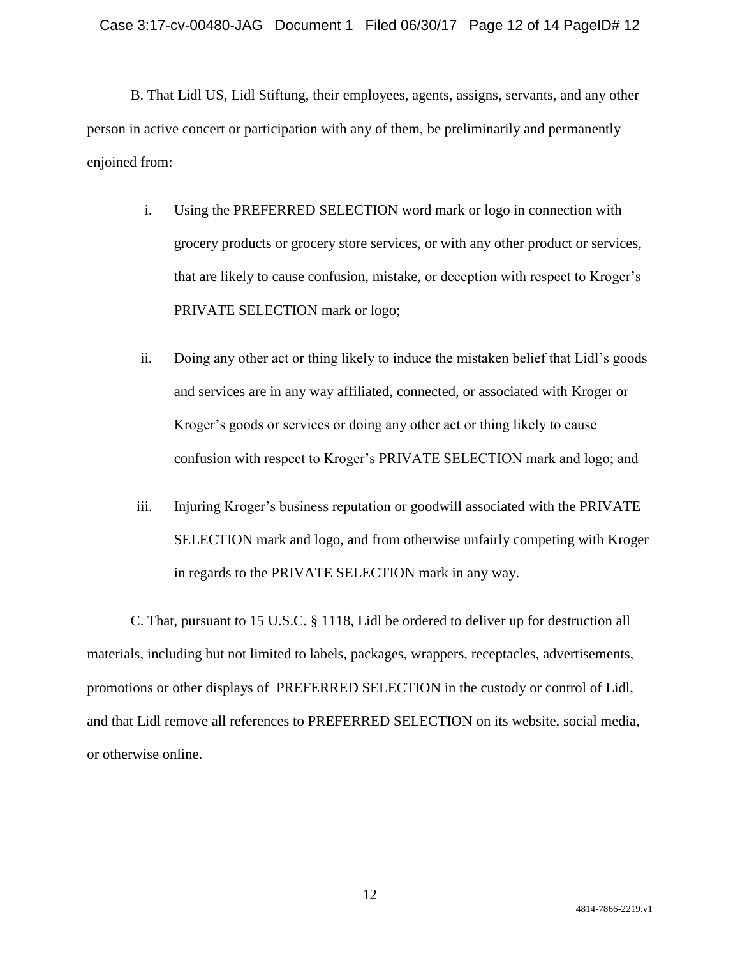B. That Lidl US, Lidl Stiftung, their employees, agents, assigns, servants, and any other person in active concert or participation with any of them, be preliminarily and permanently enjoined from:

- i. Using the PREFERRED SELECTION word mark or logo in connection with grocery products or grocery store services, or with any other product or services, that are likely to cause confusion, mistake, or deception with respect to Kroger's PRIVATE SELECTION mark or logo;
- ii. Doing any other act or thing likely to induce the mistaken belief that Lidl's goods and services are in any way affiliated, connected, or associated with Kroger or Kroger's goods or services or doing any other act or thing likely to cause confusion with respect to Kroger's PRIVATE SELECTION mark and logo; and
- iii. Injuring Kroger's business reputation or goodwill associated with the PRIVATE SELECTION mark and logo, and from otherwise unfairly competing with Kroger in regards to the PRIVATE SELECTION mark in any way.

C. That, pursuant to 15 U.S.C. § 1118, Lidl be ordered to deliver up for destruction all materials, including but not limited to labels, packages, wrappers, receptacles, advertisements, promotions or other displays of PREFERRED SELECTION in the custody or control of Lidl, and that Lidl remove all references to PREFERRED SELECTION on its website, social media, or otherwise online.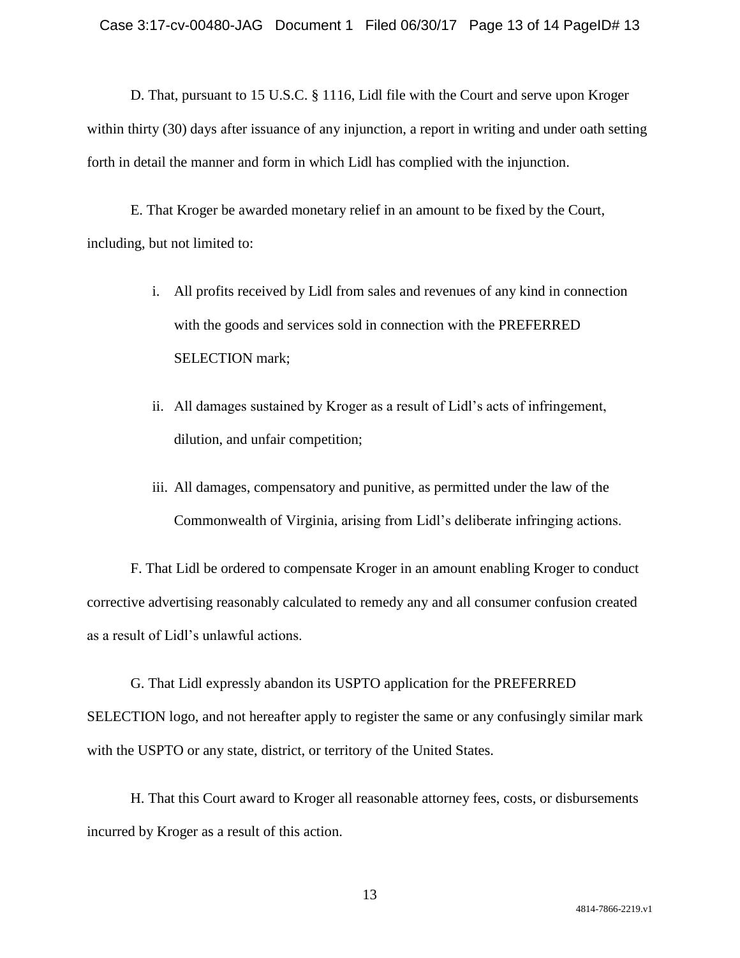D. That, pursuant to 15 U.S.C. § 1116, Lidl file with the Court and serve upon Kroger within thirty (30) days after issuance of any injunction, a report in writing and under oath setting forth in detail the manner and form in which Lidl has complied with the injunction.

E. That Kroger be awarded monetary relief in an amount to be fixed by the Court, including, but not limited to:

- i. All profits received by Lidl from sales and revenues of any kind in connection with the goods and services sold in connection with the PREFERRED SELECTION mark;
- ii. All damages sustained by Kroger as a result of Lidl's acts of infringement, dilution, and unfair competition;
- iii. All damages, compensatory and punitive, as permitted under the law of the Commonwealth of Virginia, arising from Lidl's deliberate infringing actions.

F. That Lidl be ordered to compensate Kroger in an amount enabling Kroger to conduct corrective advertising reasonably calculated to remedy any and all consumer confusion created as a result of Lidl's unlawful actions.

G. That Lidl expressly abandon its USPTO application for the PREFERRED SELECTION logo, and not hereafter apply to register the same or any confusingly similar mark with the USPTO or any state, district, or territory of the United States.

H. That this Court award to Kroger all reasonable attorney fees, costs, or disbursements incurred by Kroger as a result of this action.